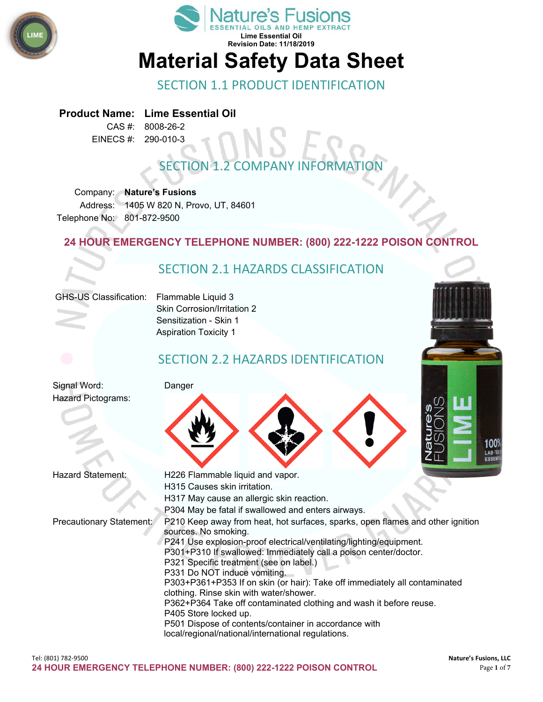



### SECTION 1.1 PRODUCT IDENTIFICATION

#### **Product Name: Lime Essential Oil**

CAS #: 8008-26-2 EINECS #: 290-010-3

# **SECTION 1.2 COMPANY INFORMAT**

Company: **Nature's Fusions** Address: 1405 W 820 N, Provo, UT, 84601 Telephone No: 801-872-9500

### **24 HOUR EMERGENCY TELEPHONE NUMBER: (800) 222-1222 POISON CONTROL**

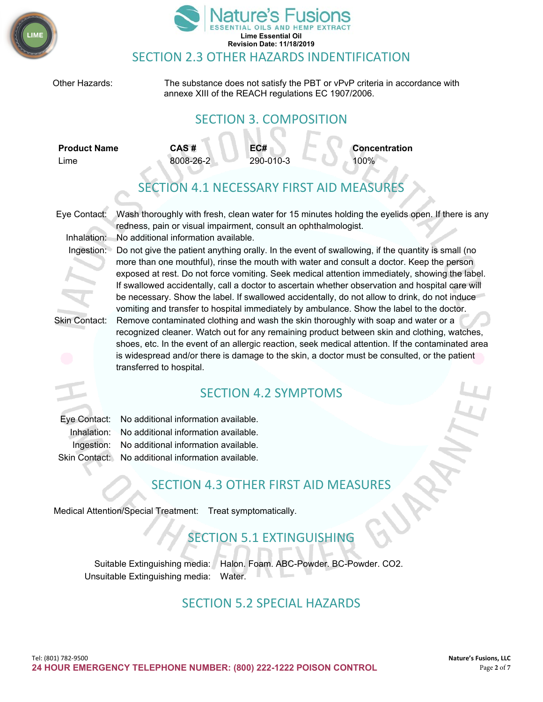



Other Hazards: The substance does not satisfy the PBT or vPvP criteria in accordance with annexe XIII of the REACH regulations EC 1907/2006. SECTION 3. COMPOSITION SECTION 4.1 NECESSARY FIRST AID MEASURES Eye Contact: Wash thoroughly with fresh, clean water for 15 minutes holding the eyelids open. If there is any redness, pain or visual impairment, consult an ophthalmologist. Inhalation: No additional information available. Ingestion: Do not give the patient anything orally. In the event of swallowing, if the quantity is small (no more than one mouthful), rinse the mouth with water and consult a doctor. Keep the person exposed at rest. Do not force vomiting. Seek medical attention immediately, showing the label. If swallowed accidentally, call a doctor to ascertain whether observation and hospital care will be necessary. Show the label. If swallowed accidentally, do not allow to drink, do not induce vomiting and transfer to hospital immediately by ambulance. Show the label to the doctor. Skin Contact: Remove contaminated clothing and wash the skin thoroughly with soap and water or a recognized cleaner. Watch out for any remaining product between skin and clothing, watches, shoes, etc. In the event of an allergic reaction, seek medical attention. If the contaminated area is widespread and/or there is damage to the skin, a doctor must be consulted, or the patient transferred to hospital. SECTION 4.2 SYMPTOMS Eye Contact: No additional information available. Inhalation: No additional information available. Ingestion: No additional information available. Skin Contact: No additional information available. SECTION 4.3 OTHER FIRST AID MEASURES Medical Attention/Special Treatment: Treat symptomatically. SECTION 5.1 EXTINGUISHING Suitable Extinguishing media: Halon. Foam. ABC-Powder. BC-Powder. CO2. Unsuitable Extinguishing media: Water. SECTION 5.2 SPECIAL HAZARDS **Product Name CAS # EC# Concentration** Lime 8008-26-2 290-010-3 100%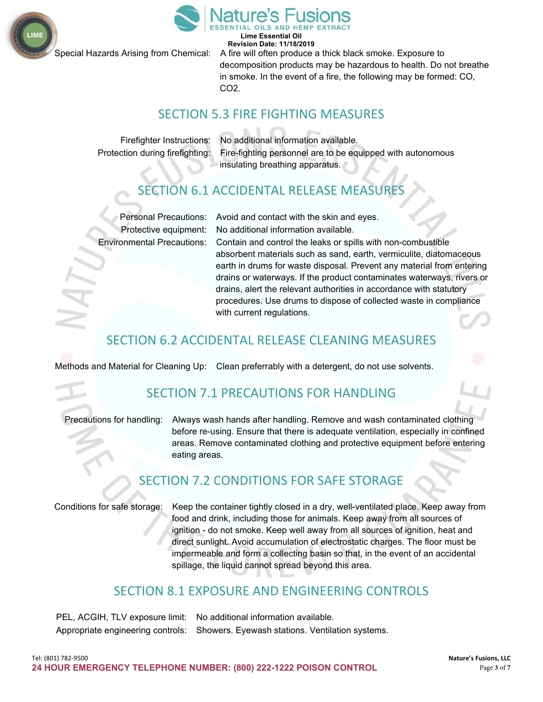



**Lime Essential Oil Revision Date: 11/18/2019**

Special Hazards Arising from Chemical: A fire will often produce a thick black smoke. Exposure to decomposition products may be hazardous to health. Do not breathe in smoke. In the event of a fire, the following may be formed: CO, CO2.

### SECTION 5.3 FIRE FIGHTING MEASURES

Firefighter Instructions: No additional information available. Protection during firefighting: Fire-fighting personnel are to be equipped with autonomous insulating breathing apparatus.

## SECTION 6.1 ACCIDENTAL RELEASE MEASURES

Personal Precautions: Avoid and contact with the skin and eyes. Protective equipment: No additional information available.

Environmental Precautions: Contain and control the leaks or spills with non-combustible absorbent materials such as sand, earth, vermiculite, diatomaceous earth in drums for waste disposal. Prevent any material from entering drains or waterways. If the product contaminates waterways, rivers or drains, alert the relevant authorities in accordance with statutory procedures. Use drums to dispose of collected waste in compliance with current regulations.

## SECTION 6.2 ACCIDENTAL RELEASE CLEANING MEASURES

Methods and Material for Cleaning Up: Clean preferrably with a detergent, do not use solvents.

## SECTION 7.1 PRECAUTIONS FOR HANDLING

Precautions for handling: Always wash hands after handling. Remove and wash contaminated clothing before re-using. Ensure that there is adequate ventilation, especially in confined areas. Remove contaminated clothing and protective equipment before entering eating areas.

## SECTION 7.2 CONDITIONS FOR SAFE STORAGE

Conditions for safe storage: Keep the container tightly closed in a dry, well-ventilated place. Keep away from food and drink, including those for animals. Keep away from all sources of ignition - do not smoke. Keep well away from all sources of ignition, heat and direct sunlight. Avoid accumulation of electrostatic charges. The floor must be impermeable and form a collecting basin so that, in the event of an accidental spillage, the liquid cannot spread beyond this area.

### SECTION 8.1 EXPOSURE AND ENGINEERING CONTROLS

| PEL, ACGIH, TLV exposure limit: No additional information available.              |
|-----------------------------------------------------------------------------------|
| Appropriate engineering controls: Showers. Eyewash stations. Ventilation systems. |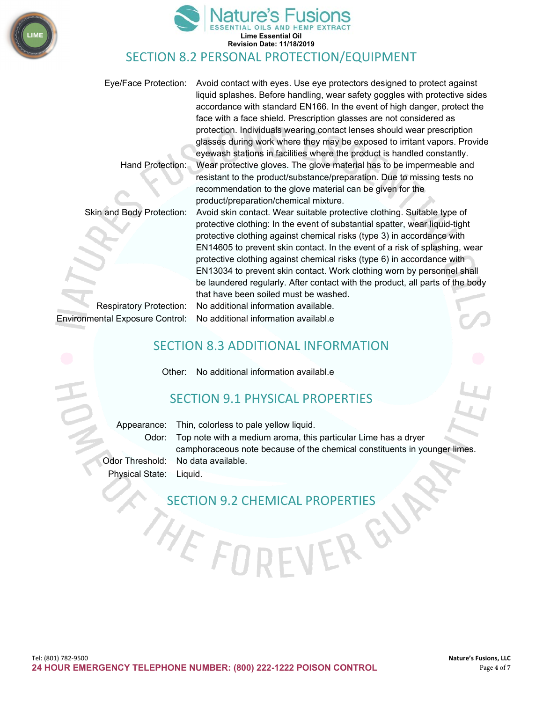



### SECTION 8.2 PERSONAL PROTECTION/EQUIPMENT

Eye/Face Protection: Avoid contact with eyes. Use eye protectors designed to protect against liquid splashes. Before handling, wear safety goggles with protective sides accordance with standard EN166. In the event of high danger, protect the face with a face shield. Prescription glasses are not considered as protection. Individuals wearing contact lenses should wear prescription glasses during work where they may be exposed to irritant vapors. Provide eyewash stations in facilities where the product is handled constantly. Hand Protection: Wear protective gloves. The glove material has to be impermeable and resistant to the product/substance/preparation. Due to missing tests no

Respiratory Protection: No additional information available. Environmental Exposure Control: No additional information availabl.e

recommendation to the glove material can be given for the product/preparation/chemical mixture. Skin and Body Protection: Avoid skin contact. Wear suitable protective clothing. Suitable type of protective clothing: In the event of substantial spatter, wear liquid-tight protective clothing against chemical risks (type 3) in accordance with EN14605 to prevent skin contact. In the event of a risk of splashing, wear protective clothing against chemical risks (type 6) in accordance with EN13034 to prevent skin contact. Work clothing worn by personnel shall be laundered regularly. After contact with the product, all parts of the body that have been soiled must be washed.

### SECTION 8.3 ADDITIONAL INFORMATION

Other: No additional information availabl.e

### SECTION 9.1 PHYSICAL PROPERTIES

Appearance: Thin, colorless to pale yellow liquid. Odor: Top note with a medium aroma, this particular Lime has a dryer camphoraceous note because of the chemical constituents in younger limes. Odor Threshold: No data available. Physical State: Liquid.

 $\mathcal{C}$ 

# SECTION 9.2 CHEMICAL PROPERTIES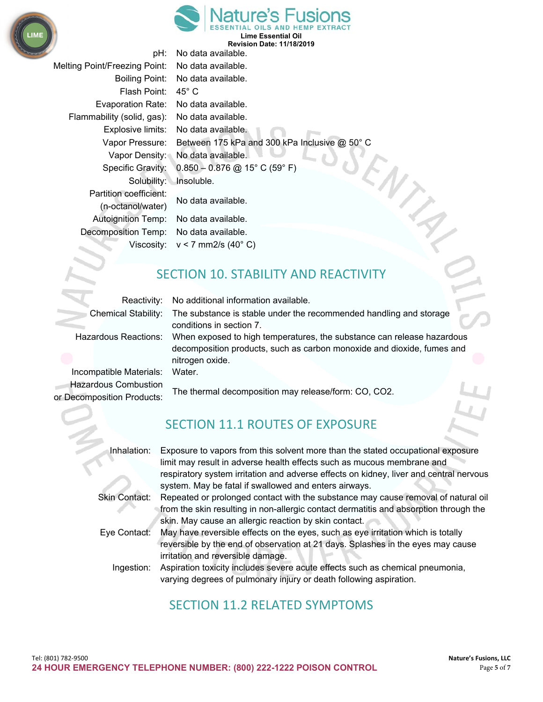



**Lime Essential Oil Revision Date: 11/18/2019**

| pH:                                         | No data available.                            |
|---------------------------------------------|-----------------------------------------------|
| <b>Melting Point/Freezing Point:</b>        | No data available.                            |
| Boiling Point:                              | No data available.                            |
| Flash Point:                                | 45° C                                         |
| <b>Evaporation Rate:</b>                    | No data available.                            |
| Flammability (solid, gas):                  | No data available.                            |
| Explosive limits:                           | No data available.                            |
| Vapor Pressure:                             | Between 175 kPa and 300 kPa Inclusive @ 50° C |
| Vapor Density:                              | No data available.                            |
| Specific Gravity:                           | $0.850 - 0.876$ @ 15° C (59° F)               |
| Solubility:                                 | Insoluble.                                    |
| Partition coefficient:<br>(n-octanol/water) | No data available.                            |
| <b>Autoignition Temp:</b>                   | No data available.                            |
| Decomposition Temp:                         | No data available.                            |
| Viscosity:                                  | $v < 7$ mm2/s (40 $^{\circ}$ C)               |

# SECTION 10. STABILITY AND REACTIVITY

 $N_{\hat{\zeta}_{q}}$ 

| Reactivity:                                               | No additional information available.                                                                                                                                |  |
|-----------------------------------------------------------|---------------------------------------------------------------------------------------------------------------------------------------------------------------------|--|
| <b>Chemical Stability:</b>                                | The substance is stable under the recommended handling and storage<br>conditions in section 7.                                                                      |  |
| Hazardous Reactions:                                      | When exposed to high temperatures, the substance can release hazardous<br>decomposition products, such as carbon monoxide and dioxide, fumes and<br>nitrogen oxide. |  |
| Incompatible Materials:                                   | Water.                                                                                                                                                              |  |
| <b>Hazardous Combustion</b><br>or Decomposition Products: | The thermal decomposition may release/form: CO, CO2.                                                                                                                |  |
|                                                           |                                                                                                                                                                     |  |

## SECTION 11.1 ROUTES OF EXPOSURE

| Inhalation:          | Exposure to vapors from this solvent more than the stated occupational exposure        |
|----------------------|----------------------------------------------------------------------------------------|
|                      | limit may result in adverse health effects such as mucous membrane and                 |
|                      | respiratory system irritation and adverse effects on kidney, liver and central nervous |
|                      | system. May be fatal if swallowed and enters airways.                                  |
| <b>Skin Contact:</b> | Repeated or prolonged contact with the substance may cause removal of natural oil      |
|                      | from the skin resulting in non-allergic contact dermatitis and absorption through the  |
|                      | skin. May cause an allergic reaction by skin contact.                                  |
| Eye Contact:         | May have reversible effects on the eyes, such as eye irritation which is totally       |
|                      | reversible by the end of observation at 21 days. Splashes in the eyes may cause        |
|                      | irritation and reversible damage.                                                      |
| Ingestion:           | Aspiration toxicity includes severe acute effects such as chemical pneumonia,          |
|                      | varying degrees of pulmonary injury or death following aspiration.                     |

## SECTION 11.2 RELATED SYMPTOMS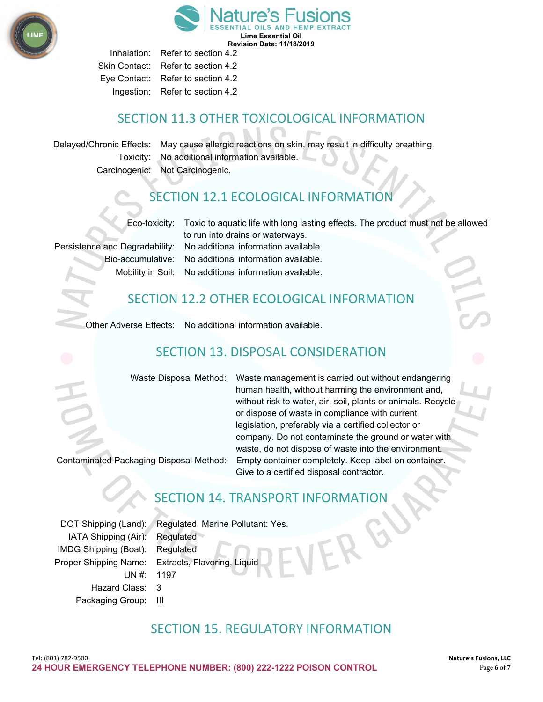

**Lime Essential Oil Revision Date: 11/18/2019**

Inhalation: Refer to section 4.2 Skin Contact: Refer to section 4.2 Eye Contact: Refer to section 4.2 Ingestion: Refer to section 4.2

## SECTION 11.3 OTHER TOXICOLOGICAL INFORMATION

Delayed/Chronic Effects: May cause allergic reactions on skin, may result in difficulty breathing. Toxicity: No additional information available. Carcinogenic: Not Carcinogenic.

## SECTION 12.1 ECOLOGICAL INFORMATION

Eco-toxicity: Toxic to aquatic life with long lasting effects. The product must not be allowed to run into drains or waterways.

Persistence and Degradability: No additional information available. Bio-accumulative: No additional information available. Mobility in Soil: No additional information available.

### SECTION 12.2 OTHER ECOLOGICAL INFORMATION

Other Adverse Effects: No additional information available.

## SECTION 13. DISPOSAL CONSIDERATION

Waste Disposal Method: Waste management is carried out without endangering human health, without harming the environment and, without risk to water, air, soil, plants or animals. Recycle or dispose of waste in compliance with current legislation, preferably via a certified collector or company. Do not contaminate the ground or water with waste, do not dispose of waste into the environment. Contaminated Packaging Disposal Method: Empty container completely. Keep label on container. Give to a certified disposal contractor.

### SECTION 14. TRANSPORT INFORMATION

DOT Shipping (Land): Regulated. Marine Pollutant: Yes. IATA Shipping (Air): Regulated IMDG Shipping (Boat): Regulated UN #: 1197 Hazard Class: 3 Packaging Group: III

Proper Shipping Name: Extracts, Flavoring, Liquid

### SECTION 15. REGULATORY INFORMATION